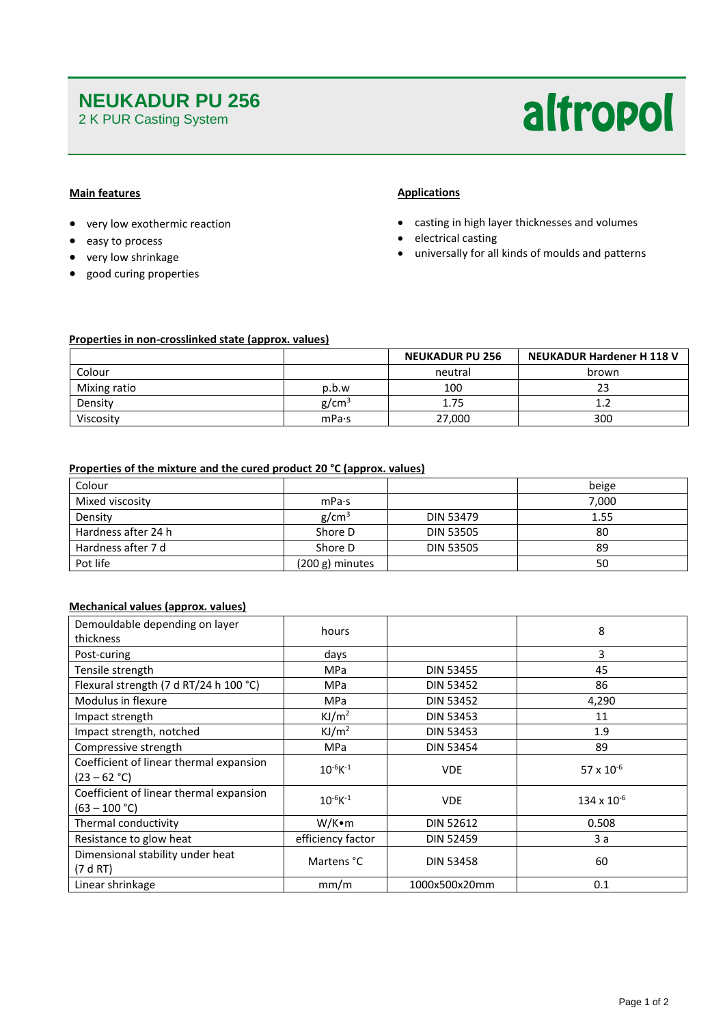# **NEUKADUR PU 256**

2 K PUR Casting System

# altropol

# **Main features**

- very low exothermic reaction
- easy to process
- very low shrinkage
- good curing properties

## **Applications**

- casting in high layer thicknesses and volumes
- electrical casting
- universally for all kinds of moulds and patterns

## **Properties in non-crosslinked state (approx. values)**

|              | <b>NEUKADUR PU 256</b> |         | <b>NEUKADUR Hardener H 118 V</b> |  |
|--------------|------------------------|---------|----------------------------------|--|
| Colour       |                        | neutral | brown                            |  |
| Mixing ratio | p.b.w                  | 100     | 23                               |  |
| Density      | g/cm <sup>3</sup>      | 1.75    |                                  |  |
| Viscosity    | mPa·s                  | 27,000  | 300                              |  |

### **Properties of the mixture and the cured product 20 °C (approx. values)**

| Colour              |                   |                  | beige |
|---------------------|-------------------|------------------|-------|
| Mixed viscosity     | mPa·s             |                  | 7.000 |
| Density             | g/cm <sup>3</sup> | <b>DIN 53479</b> | 1.55  |
| Hardness after 24 h | Shore D           | <b>DIN 53505</b> | 80    |
| Hardness after 7 d  | Shore D           | <b>DIN 53505</b> | -89   |
| Pot life            | $(200 g)$ minutes |                  | 50    |

# **Mechanical values (approx. values)**

| Demouldable depending on layer<br>thickness                | hours             |                  | 8                    |
|------------------------------------------------------------|-------------------|------------------|----------------------|
| Post-curing                                                | days              |                  | 3                    |
| Tensile strength                                           | <b>MPa</b>        | <b>DIN 53455</b> | 45                   |
| Flexural strength (7 d RT/24 h 100 °C)                     | <b>MPa</b>        | <b>DIN 53452</b> | 86                   |
| Modulus in flexure                                         | <b>MPa</b>        | <b>DIN 53452</b> | 4,290                |
| Impact strength                                            | KJ/m <sup>2</sup> | <b>DIN 53453</b> | 11                   |
| Impact strength, notched                                   | KJ/m <sup>2</sup> | <b>DIN 53453</b> | 1.9                  |
| Compressive strength                                       | <b>MPa</b>        | <b>DIN 53454</b> | 89                   |
| Coefficient of linear thermal expansion<br>$(23 - 62 °C)$  | $10^{-6}K^{-1}$   | <b>VDE</b>       | 57 x $10^{-6}$       |
| Coefficient of linear thermal expansion<br>$(63 - 100 °C)$ | $10^{-6}K^{-1}$   | <b>VDE</b>       | $134 \times 10^{-6}$ |
| Thermal conductivity                                       | W/K∙m             | <b>DIN 52612</b> | 0.508                |
| Resistance to glow heat                                    | efficiency factor | <b>DIN 52459</b> | 3a                   |
| Dimensional stability under heat<br>(7 d RT)               | Martens °C        | <b>DIN 53458</b> | 60                   |
| Linear shrinkage                                           | mm/m              | 1000x500x20mm    | 0.1                  |